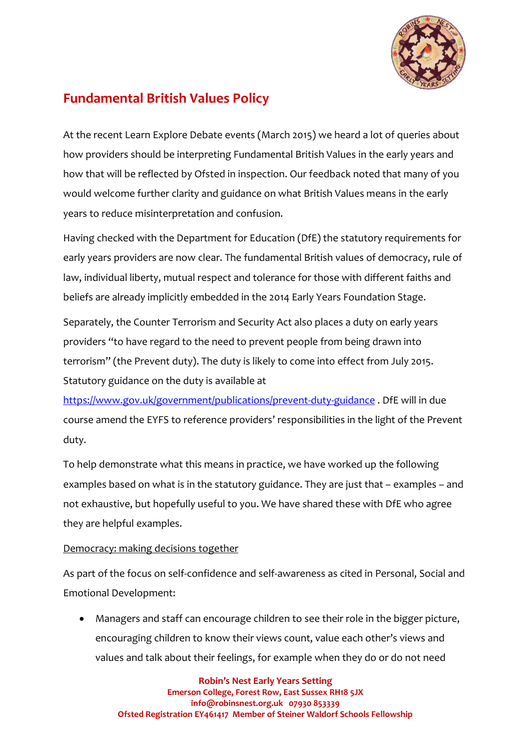

# **Fundamental British Values Policy**

At the recent Learn Explore Debate events (March 2015) we heard a lot of queries about how providers should be interpreting Fundamental British Values in the early years and how that will be reflected by Ofsted in inspection. Our feedback noted that many of you would welcome further clarity and guidance on what British Values means in the early years to reduce misinterpretation and confusion.

Having checked with the Department for Education (DfE) the statutory requirements for early years providers are now clear. The fundamental British values of democracy, rule of law, individual liberty, mutual respect and tolerance for those with different faiths and beliefs are already implicitly embedded in the 2014 Early Years Foundation Stage.

Separately, the Counter Terrorism and Security Act also places a duty on early years providers "to have regard to the need to prevent people from being drawn into terrorism" (the Prevent duty). The duty is likely to come into effect from July 2015. Statutory guidance on the duty is available at

<https://www.gov.uk/government/publications/prevent-duty-guidance> . DfE will in due course amend the EYFS to reference providers' responsibilities in the light of the Prevent duty.

To help demonstrate what this means in practice, we have worked up the following examples based on what is in the statutory guidance. They are just that – examples – and not exhaustive, but hopefully useful to you. We have shared these with DfE who agree they are helpful examples.

## Democracy: making decisions together

As part of the focus on self-confidence and self-awareness as cited in Personal, Social and Emotional Development:

 Managers and staff can encourage children to see their role in the bigger picture, encouraging children to know their views count, value each other's views and values and talk about their feelings, for example when they do or do not need

**Robin's Nest Early Years Setting Emerson College, Forest Row, East Sussex RH18 5JX info@robinsnest.org.uk 07930 853339 Ofsted Registration EY461417 Member of Steiner Waldorf Schools Fellowship**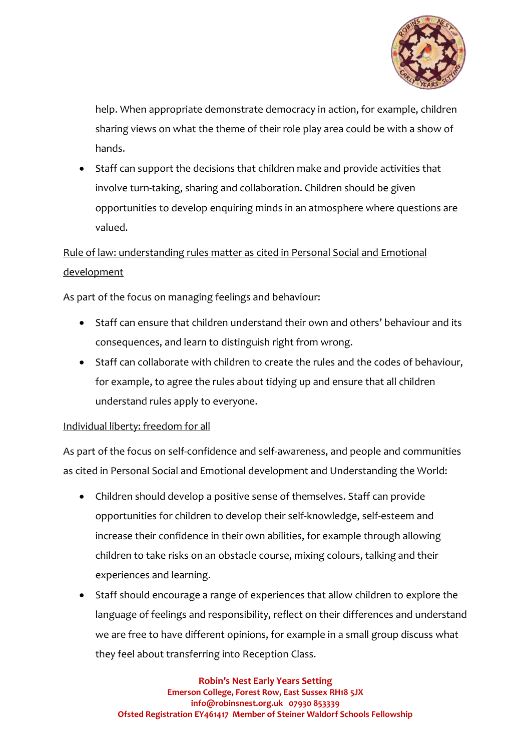

help. When appropriate demonstrate democracy in action, for example, children sharing views on what the theme of their role play area could be with a show of hands.

 Staff can support the decisions that children make and provide activities that involve turn-taking, sharing and collaboration. Children should be given opportunities to develop enquiring minds in an atmosphere where questions are valued.

## Rule of law: understanding rules matter as cited in Personal Social and Emotional development

As part of the focus on managing feelings and behaviour:

- Staff can ensure that children understand their own and others' behaviour and its consequences, and learn to distinguish right from wrong.
- Staff can collaborate with children to create the rules and the codes of behaviour, for example, to agree the rules about tidying up and ensure that all children understand rules apply to everyone.

## Individual liberty: freedom for all

As part of the focus on self-confidence and self-awareness, and people and communities as cited in Personal Social and Emotional development and Understanding the World:

- Children should develop a positive sense of themselves. Staff can provide opportunities for children to develop their self-knowledge, self-esteem and increase their confidence in their own abilities, for example through allowing children to take risks on an obstacle course, mixing colours, talking and their experiences and learning.
- Staff should encourage a range of experiences that allow children to explore the language of feelings and responsibility, reflect on their differences and understand we are free to have different opinions, for example in a small group discuss what they feel about transferring into Reception Class.

**Robin's Nest Early Years Setting Emerson College, Forest Row, East Sussex RH18 5JX info@robinsnest.org.uk 07930 853339 Ofsted Registration EY461417 Member of Steiner Waldorf Schools Fellowship**